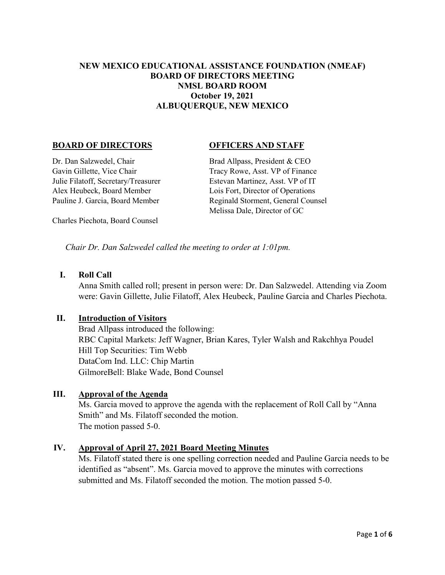### **NEW MEXICO EDUCATIONAL ASSISTANCE FOUNDATION (NMEAF) BOARD OF DIRECTORS MEETING NMSL BOARD ROOM October 19, 2021 ALBUQUERQUE, NEW MEXICO**

#### **BOARD OF DIRECTORS OFFICERS AND STAFF**

Dr. Dan Salzwedel, Chair Brad Allpass, President & CEO Gavin Gillette, Vice Chair Tracy Rowe, Asst. VP of Finance Julie Filatoff, Secretary/Treasurer Estevan Martinez, Asst. VP of IT Alex Heubeck, Board Member Lois Fort, Director of Operations

Pauline J. Garcia, Board Member Reginald Storment, General Counsel Melissa Dale, Director of GC

Charles Piechota, Board Counsel

*Chair Dr. Dan Salzwedel called the meeting to order at 1:01pm.*

#### **I. Roll Call**

Anna Smith called roll; present in person were: Dr. Dan Salzwedel. Attending via Zoom were: Gavin Gillette, Julie Filatoff, Alex Heubeck, Pauline Garcia and Charles Piechota.

#### **II. Introduction of Visitors**

Brad Allpass introduced the following: RBC Capital Markets: Jeff Wagner, Brian Kares, Tyler Walsh and Rakchhya Poudel Hill Top Securities: Tim Webb DataCom Ind. LLC: Chip Martin GilmoreBell: Blake Wade, Bond Counsel

#### **III. Approval of the Agenda**

Ms. Garcia moved to approve the agenda with the replacement of Roll Call by "Anna Smith" and Ms. Filatoff seconded the motion. The motion passed 5-0.

#### **IV. Approval of April 27, 2021 Board Meeting Minutes**

Ms. Filatoff stated there is one spelling correction needed and Pauline Garcia needs to be identified as "absent". Ms. Garcia moved to approve the minutes with corrections submitted and Ms. Filatoff seconded the motion. The motion passed 5-0.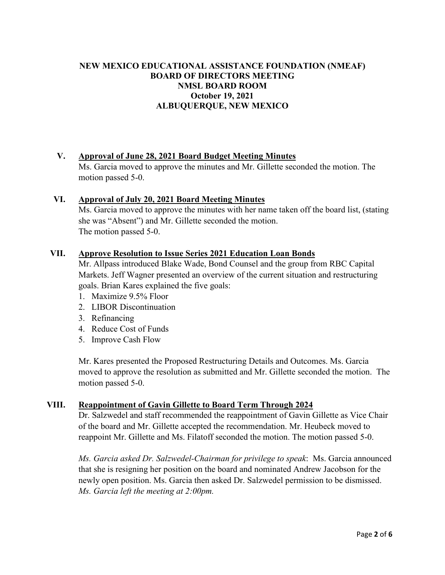## **NEW MEXICO EDUCATIONAL ASSISTANCE FOUNDATION (NMEAF) BOARD OF DIRECTORS MEETING NMSL BOARD ROOM October 19, 2021 ALBUQUERQUE, NEW MEXICO**

#### **V. Approval of June 28, 2021 Board Budget Meeting Minutes**

Ms. Garcia moved to approve the minutes and Mr. Gillette seconded the motion. The motion passed 5-0.

#### **VI. Approval of July 20, 2021 Board Meeting Minutes**

Ms. Garcia moved to approve the minutes with her name taken off the board list, (stating she was "Absent") and Mr. Gillette seconded the motion. The motion passed 5-0.

#### **VII. Approve Resolution to Issue Series 2021 Education Loan Bonds**

Mr. Allpass introduced Blake Wade, Bond Counsel and the group from RBC Capital Markets. Jeff Wagner presented an overview of the current situation and restructuring goals. Brian Kares explained the five goals:

- 1. Maximize 9.5% Floor
- 2. LIBOR Discontinuation
- 3. Refinancing
- 4. Reduce Cost of Funds
- 5. Improve Cash Flow

Mr. Kares presented the Proposed Restructuring Details and Outcomes. Ms. Garcia moved to approve the resolution as submitted and Mr. Gillette seconded the motion. The motion passed 5-0.

#### **VIII. Reappointment of Gavin Gillette to Board Term Through 2024**

Dr. Salzwedel and staff recommended the reappointment of Gavin Gillette as Vice Chair of the board and Mr. Gillette accepted the recommendation. Mr. Heubeck moved to reappoint Mr. Gillette and Ms. Filatoff seconded the motion. The motion passed 5-0.

*Ms. Garcia asked Dr. Salzwedel-Chairman for privilege to speak*: Ms. Garcia announced that she is resigning her position on the board and nominated Andrew Jacobson for the newly open position. Ms. Garcia then asked Dr. Salzwedel permission to be dismissed. *Ms. Garcia left the meeting at 2:00pm.*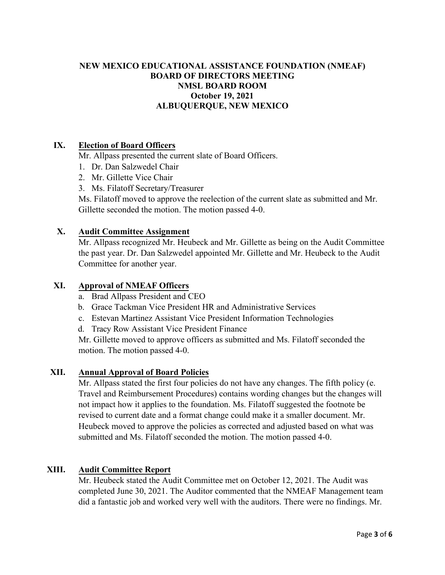### **NEW MEXICO EDUCATIONAL ASSISTANCE FOUNDATION (NMEAF) BOARD OF DIRECTORS MEETING NMSL BOARD ROOM October 19, 2021 ALBUQUERQUE, NEW MEXICO**

#### **IX. Election of Board Officers**

Mr. Allpass presented the current slate of Board Officers.

- 1. Dr. Dan Salzwedel Chair
- 2. Mr. Gillette Vice Chair
- 3. Ms. Filatoff Secretary/Treasurer

Ms. Filatoff moved to approve the reelection of the current slate as submitted and Mr. Gillette seconded the motion. The motion passed 4-0.

#### **X. Audit Committee Assignment**

Mr. Allpass recognized Mr. Heubeck and Mr. Gillette as being on the Audit Committee the past year. Dr. Dan Salzwedel appointed Mr. Gillette and Mr. Heubeck to the Audit Committee for another year.

#### **XI. Approval of NMEAF Officers**

- a. Brad Allpass President and CEO
- b. Grace Tackman Vice President HR and Administrative Services
- c. Estevan Martinez Assistant Vice President Information Technologies
- d. Tracy Row Assistant Vice President Finance

Mr. Gillette moved to approve officers as submitted and Ms. Filatoff seconded the motion. The motion passed 4-0.

#### **XII. Annual Approval of Board Policies**

Mr. Allpass stated the first four policies do not have any changes. The fifth policy (e. Travel and Reimbursement Procedures) contains wording changes but the changes will not impact how it applies to the foundation. Ms. Filatoff suggested the footnote be revised to current date and a format change could make it a smaller document. Mr. Heubeck moved to approve the policies as corrected and adjusted based on what was submitted and Ms. Filatoff seconded the motion. The motion passed 4-0.

#### **XIII. Audit Committee Report**

Mr. Heubeck stated the Audit Committee met on October 12, 2021. The Audit was completed June 30, 2021. The Auditor commented that the NMEAF Management team did a fantastic job and worked very well with the auditors. There were no findings. Mr.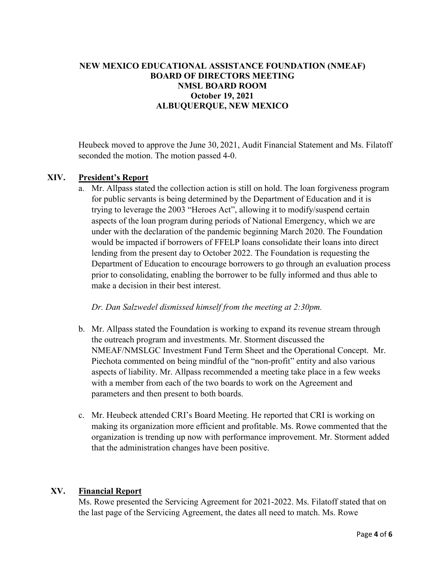### **NEW MEXICO EDUCATIONAL ASSISTANCE FOUNDATION (NMEAF) BOARD OF DIRECTORS MEETING NMSL BOARD ROOM October 19, 2021 ALBUQUERQUE, NEW MEXICO**

Heubeck moved to approve the June 30, 2021, Audit Financial Statement and Ms. Filatoff seconded the motion. The motion passed 4-0.

#### **XIV. President's Report**

a. Mr. Allpass stated the collection action is still on hold. The loan forgiveness program for public servants is being determined by the Department of Education and it is trying to leverage the 2003 "Heroes Act", allowing it to modify/suspend certain aspects of the loan program during periods of National Emergency, which we are under with the declaration of the pandemic beginning March 2020. The Foundation would be impacted if borrowers of FFELP loans consolidate their loans into direct lending from the present day to October 2022. The Foundation is requesting the Department of Education to encourage borrowers to go through an evaluation process prior to consolidating, enabling the borrower to be fully informed and thus able to make a decision in their best interest.

 *Dr. Dan Salzwedel dismissed himself from the meeting at 2:30pm.* 

- b. Mr. Allpass stated the Foundation is working to expand its revenue stream through the outreach program and investments. Mr. Storment discussed the NMEAF/NMSLGC Investment Fund Term Sheet and the Operational Concept. Mr. Piechota commented on being mindful of the "non-profit" entity and also various aspects of liability. Mr. Allpass recommended a meeting take place in a few weeks with a member from each of the two boards to work on the Agreement and parameters and then present to both boards.
- c. Mr. Heubeck attended CRI's Board Meeting. He reported that CRI is working on making its organization more efficient and profitable. Ms. Rowe commented that the organization is trending up now with performance improvement. Mr. Storment added that the administration changes have been positive.

#### **XV. Financial Report**

Ms. Rowe presented the Servicing Agreement for 2021-2022. Ms. Filatoff stated that on the last page of the Servicing Agreement, the dates all need to match. Ms. Rowe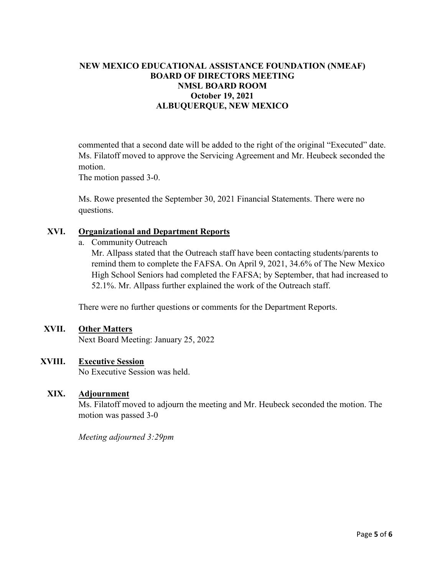## **NEW MEXICO EDUCATIONAL ASSISTANCE FOUNDATION (NMEAF) BOARD OF DIRECTORS MEETING NMSL BOARD ROOM October 19, 2021 ALBUQUERQUE, NEW MEXICO**

commented that a second date will be added to the right of the original "Executed" date. Ms. Filatoff moved to approve the Servicing Agreement and Mr. Heubeck seconded the motion.

The motion passed 3-0.

Ms. Rowe presented the September 30, 2021 Financial Statements. There were no questions.

#### **XVI. Organizational and Department Reports**

a. Community Outreach

Mr. Allpass stated that the Outreach staff have been contacting students/parents to remind them to complete the FAFSA. On April 9, 2021, 34.6% of The New Mexico High School Seniors had completed the FAFSA; by September, that had increased to 52.1%. Mr. Allpass further explained the work of the Outreach staff.

There were no further questions or comments for the Department Reports.

#### **XVII. Other Matters**

Next Board Meeting: January 25, 2022

#### **XVIII. Executive Session**

No Executive Session was held.

#### **XIX. Adjournment**

Ms. Filatoff moved to adjourn the meeting and Mr. Heubeck seconded the motion. The motion was passed 3-0

*Meeting adjourned 3:29pm*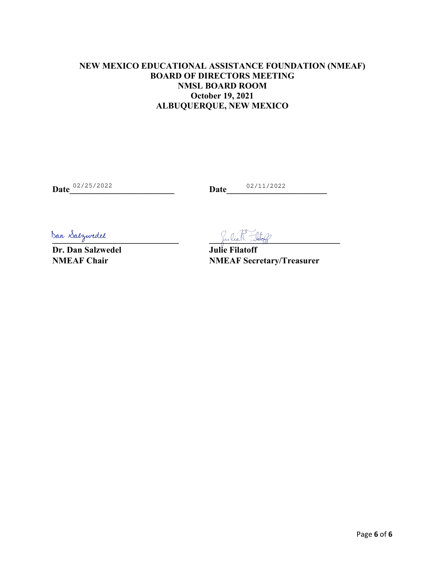## **NEW MEXICO EDUCATIONAL ASSISTANCE FOUNDATION (NMEAF) BOARD OF DIRECTORS MEETING NMSL BOARD ROOM October 19, 2021 ALBUQUERQUE, NEW MEXICO**

**Date** 02/25/2022 **Date** 02/11/2022

**Dr. Dan Salzwedel Julie Filatoff** 

 $\beta$ an Salzwedel

**NMEAF Chair** NMEAF Secretary/Treasurer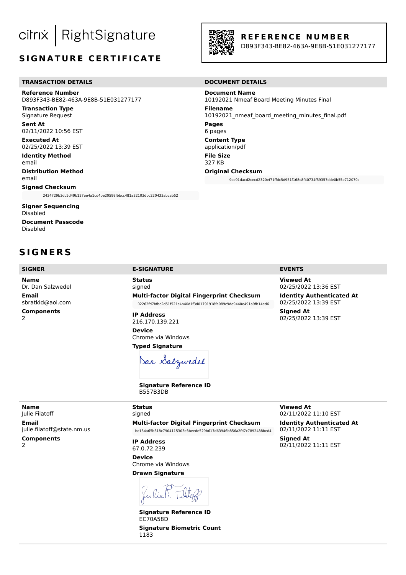#### $\big\vert$  RightSignature citrix

# **SIGNATURE CERTIFICATE**

#### **TRANSACTION DETAILS DOCUMENT DETAILS**

**Reference Number** D893F343-BE82-463A-9E8B-51E031277177

**Transaction Type** Signature Request

**Sent At** 02/11/2022 10:56 EST

**Executed At** 02/25/2022 13:39 EST

**Identity Method** email **Distribution Method**

email

**Signed Checksum** 2434729b3dc5d49b127ee4a1cd4be20598fbbcc481a32103dbc220433abcab52

**Signer Sequencing** Disabled **Document Passcode** Disabled

**S I G N E R S**

**Name** Dr. Dan Salzwedel **Email** sbratkid@aol.com **Components**  $\overline{\phantom{0}}$ 

**SIGNER E-SIGNATURE EVENTS**

**Status** signed **Multi-factor Digital Fingerprint Checksum** 02262fd7bfbc2d51f521c4b40d1f3d01791918fa089c9de9440e491a9fb14ed6

**IP Address** 216.170.139.221

**Device** Chrome via Windows **Typed Signature**

Dan Salzwedel

**Signature Reference ID** 

**Original Checksum**

10192021 Nmeaf Board Meeting Minutes Final

10192021 nmeaf board meeting minutes final.pdf

9ce91dacd2cecd2320ef71ffdc5d951f168c8f40734f59357dde0b55e712070c

**Viewed At** 02/25/2022 13:36 EST

**Identity Authenticated At** 02/25/2022 13:39 EST **Signed At** 02/25/2022 13:39 EST

**Name** Julie Filatoff **Email** julie.filatoff@state.nm.us

**Components**  $\overline{2}$ 

signed **Multi-factor Digital Fingerprint Checksum** be154a65b318c7904115303e3beede529b617d63946b856a2fd7c7892488bed4

**IP Address** 67.0.72.239

**Device** Chrome via Windows **Drawn Signature**

Julie R. F

**Signature Reference ID** EC70A58D **Signature Biometric Count** 1183

**Viewed At** 02/11/2022 11:10 EST

**Identity Authenticated At** 02/11/2022 11:11 EST **Signed At** 02/11/2022 11:11 EST





**Document Name**

**Filename**

**Pages** 6 pages **Content Type** application/pdf **File Size** 327 KB

#### **R E F E R E N C E N U M B E R**

D893F343-BE82-463A-9E8B-51E031277177